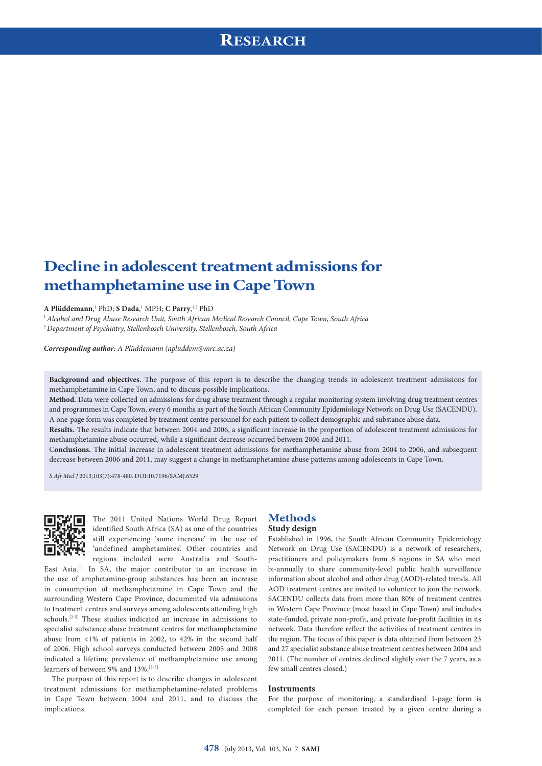# **RESEARCH**

# **Decline in adolescent treatment admissions for methamphetamine use in Cape Town**

#### **A Plüddemann**, 1 PhD; **S Dada**, 1 MPH; **C Parry**, 1,2 PhD

<sup>1</sup>*Alcohol and Drug Abuse Research Unit, South African Medical Research Council, Cape Town, South Africa*

<sup>2</sup>*Department of Psychiatry, Stellenbosch University, Stellenbosch, South Africa*

*Corresponding author: A Plüddemann [\(apluddem@mrc.ac.za\)](mailto:apluddem@mrc.ac.za)*

**Background and objectives.** The purpose of this report is to describe the changing trends in adolescent treatment admissions for methamphetamine in Cape Town, and to discuss possible implications.

**Method.** Data were collected on admissions for drug abuse treatment through a regular monitoring system involving drug treatment centres and programmes in Cape Town, every 6 months as part of the South African Community Epidemiology Network on Drug Use (SACENDU). A one-page form was completed by treatment centre personnel for each patient to collect demographic and substance abuse data.

**Results.** The results indicate that between 2004 and 2006, a significant increase in the proportion of adolescent treatment admissions for methamphetamine abuse occurred, while a significant decrease occurred between 2006 and 2011.

C**onclusions.** The initial increase in adolescent treatment admissions for methamphetamine abuse from 2004 to 2006, and subsequent decrease between 2006 and 2011, may suggest a change in methamphetamine abuse patterns among adolescents in Cape Town.

*S Afr Med J* 2013;103(7):478-480. DOI:10.7196/SAMJ.6529



The 2011 United Nations World Drug Report identified South Africa (SA) as one of the countries still experiencing 'some increase' in the use of 'undefined amphetamines'. Other countries and regions included were Australia and South-

East Asia.<sup>[1]</sup> In SA, the major contributor to an increase in the use of amphetamine-group substances has been an increase in consumption of methamphetamine in Cape Town and the surrounding Western Cape Province, documented via admissions to treatment centres and surveys among adolescents attending high schools.[2-5] These studies indicated an increase in admissions to specialist substance abuse treatment centres for methamphetamine abuse from <1% of patients in 2002, to 42% in the second half of 2006. High school surveys conducted between 2005 and 2008 indicated a lifetime prevalence of methamphetamine use among learners of between 9% and 13%.[2-5]

The purpose of this report is to describe changes in adolescent treatment admissions for methamphetamine-related problems in Cape Town between 2004 and 2011, and to discuss the implications.

### **Methods Study design**

## Established in 1996, the South African Community Epidemiology Network on Drug Use (SACENDU) is a network of researchers, practitioners and policymakers from 6 regions in SA who meet bi-annually to share community-level public health surveillance information about alcohol and other drug (AOD)-related trends. All AOD treatment centres are invited to volunteer to join the network. SACENDU collects data from more than 80% of treatment centres in Western Cape Province (most based in Cape Town) and includes state-funded, private non-profit, and private for-profit facilities in its network. Data therefore reflect the activities of treatment centres in the region. The focus of this paper is data obtained from between 23 and 27 specialist substance abuse treatment centres between 2004 and 2011. (The number of centres declined slightly over the 7 years, as a few small centres closed.)

#### **Instruments**

For the purpose of monitoring, a standardised 1-page form is completed for each person treated by a given centre during a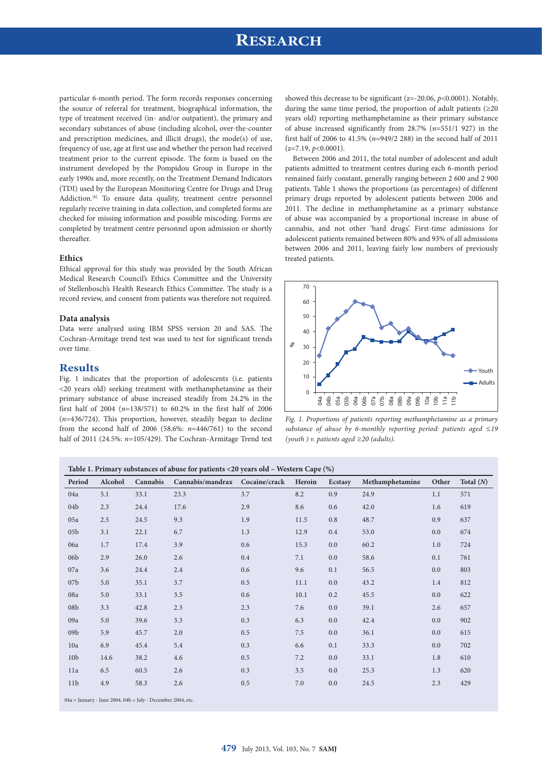# **RESEARCH**

particular 6-month period. The form records responses concerning the source of referral for treatment, biographical information, the type of treatment received (in- and/or outpatient), the primary and secondary substances of abuse (including alcohol, over-the-counter and prescription medicines, and illicit drugs), the mode(s) of use, frequency of use, age at first use and whether the person had received treatment prior to the current episode. The form is based on the instrument developed by the Pompidou Group in Europe in the early 1990s and, more recently, on the Treatment Demand Indicators (TDI) used by the European Monitoring Centre for Drugs and Drug Addiction.<sup>[6]</sup> To ensure data quality, treatment centre personnel regularly receive training in data collection, and completed forms are checked for missing information and possible miscoding. Forms are completed by treatment centre personnel upon admission or shortly thereafter.

### **Ethics**

Ethical approval for this study was provided by the South African Medical Research Council's Ethics Committee and the University of Stellenbosch's Health Research Ethics Committee. The study is a record review, and consent from patients was therefore not required.

#### **Data analysis**

Data were analysed using IBM SPSS version 20 and SAS. The Cochran-Armitage trend test was used to test for significant trends over time.

### **Results**

Fig. 1 indicates that the proportion of adolescents (i.e. patients <20 years old) seeking treatment with methamphetamine as their primary substance of abuse increased steadily from 24.2% in the first half of 2004 (*n*=138/571) to 60.2% in the first half of 2006 (*n*=436/724). This proportion, however, steadily began to decline from the second half of 2006 (58.6%: *n*=446/761) to the second half of 2011 (24.5%: *n*=105/429). The Cochran-Armitage Trend test showed this decrease to be significant (z=-20.06, *p*<0.0001). Notably, during the same time period, the proportion of adult patients (≥20 years old) reporting methamphetamine as their primary substance of abuse increased significantly from 28.7% (*n*=551/1 927) in the first half of 2006 to 41.5% (*n*=949/2 288) in the second half of 2011  $(z=7.19, p<0.0001)$ .

Between 2006 and 2011, the total number of adolescent and adult patients admitted to treatment centres during each 6-month period remained fairly constant, generally ranging between 2 600 and 2 900 patients. Table 1 shows the proportions (as percentages) of different primary drugs reported by adolescent patients between 2006 and 2011. The decline in methamphetamine as a primary substance of abuse was accompanied by a proportional increase in abuse of cannabis, and not other 'hard drugs'. First-time admissions for adolescent patients remained between 80% and 93% of all admissions between 2006 and 2011, leaving fairly low numbers of previously treated patients.



*Fig. 1. Proportions of patients reporting methamphetamine as a primary substance of abuse by 6-monthly reporting period: patients aged ≤19 (youth ) v. patients aged ≥20 (adults).*

| Table 1. Primary substances of abuse for patients <20 years old – Western Cape (%) |         |          |                  |               |         |         |                 |       |             |
|------------------------------------------------------------------------------------|---------|----------|------------------|---------------|---------|---------|-----------------|-------|-------------|
| Period                                                                             | Alcohol | Cannabis | Cannabis/mandrax | Cocaine/crack | Heroin  | Ecstasy | Methamphetamine | Other | Total $(N)$ |
| 04a                                                                                | 5.1     | 33.1     | 23.3             | 3.7           | 8.2     | 0.9     | 24.9            | 1.1   | 571         |
| 04b                                                                                | 2.3     | 24.4     | 17.6             | 2.9           | 8.6     | 0.6     | 42.0            | 1.6   | 619         |
| 05a                                                                                | 2.5     | 24.5     | 9.3              | 1.9           | 11.5    | 0.8     | 48.7            | 0.9   | 637         |
| 05 <sub>b</sub>                                                                    | 3.1     | 22.1     | 6.7              | 1.3           | 12.9    | 0.4     | 53.0            | 0.0   | 674         |
| 06a                                                                                | 1.7     | 17.4     | 3.9              | 0.6           | 15.3    | 0.0     | 60.2            | 1.0   | 724         |
| 06 <sub>b</sub>                                                                    | 2.9     | 26.0     | 2.6              | 0.4           | 7.1     | 0.0     | 58.6            | 0.1   | 761         |
| 07a                                                                                | 3.6     | 24.4     | 2.4              | 0.6           | 9.6     | 0.1     | 56.5            | 0.0   | 803         |
| 07 <sub>b</sub>                                                                    | 5.0     | 35.1     | 3.7              | 0.5           | 11.1    | 0.0     | 43.2            | 1.4   | 812         |
| 08a                                                                                | 5.0     | 33.1     | 3.5              | 0.6           | 10.1    | 0.2     | 45.5            | 0.0   | 622         |
| 08 <sub>b</sub>                                                                    | 3.3     | 42.8     | 2.3              | 2.3           | 7.6     | 0.0     | 39.1            | 2.6   | 657         |
| 09a                                                                                | 5.0     | 39.6     | 3.3              | 0.3           | 6.3     | 0.0     | 42.4            | 0.0   | 902         |
| 09 <sub>b</sub>                                                                    | 5.9     | 45.7     | 2.0              | 0.5           | 7.5     | 0.0     | 36.1            | 0.0   | 615         |
| 10a                                                                                | 6.9     | 45.4     | 5.4              | 0.3           | 6.6     | 0.1     | 33.3            | 0.0   | 702         |
| 10 <sub>b</sub>                                                                    | 14.6    | 38.2     | 4.6              | 0.5           | 7.2     | 0.0     | 33.1            | 1.8   | 610         |
| 11a                                                                                | 6.5     | 60.5     | 2.6              | 0.3           | 3.5     | 0.0     | 25.3            | 1.3   | 620         |
| 11 <sub>b</sub>                                                                    | 4.9     | 58.3     | 2.6              | 0.5           | $7.0\,$ | 0.0     | 24.5            | 2.3   | 429         |
|                                                                                    |         |          |                  |               |         |         |                 |       |             |

04a = January - June 2004, 04b = July - December 2004, etc.